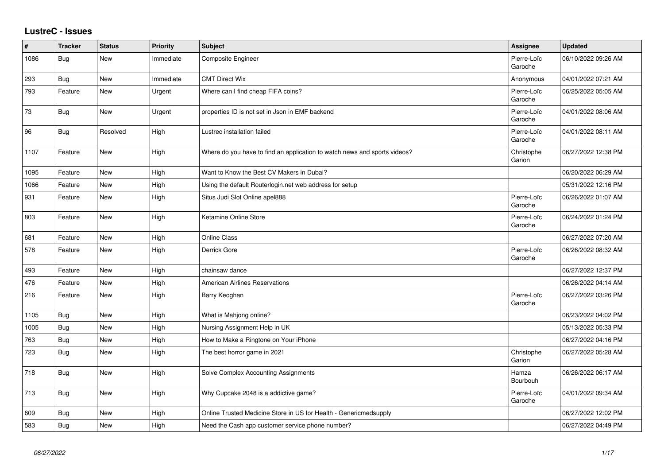## **LustreC - Issues**

| $\#$ | <b>Tracker</b> | <b>Status</b> | <b>Priority</b> | <b>Subject</b>                                                            | <b>Assignee</b>        | <b>Updated</b>      |
|------|----------------|---------------|-----------------|---------------------------------------------------------------------------|------------------------|---------------------|
| 1086 | Bug            | New           | Immediate       | Composite Engineer                                                        | Pierre-Loïc<br>Garoche | 06/10/2022 09:26 AM |
| 293  | Bug            | <b>New</b>    | Immediate       | <b>CMT Direct Wix</b>                                                     | Anonymous              | 04/01/2022 07:21 AM |
| 793  | Feature        | New           | Urgent          | Where can I find cheap FIFA coins?                                        | Pierre-Loïc<br>Garoche | 06/25/2022 05:05 AM |
| 73   | Bug            | New           | Urgent          | properties ID is not set in Json in EMF backend                           | Pierre-Loïc<br>Garoche | 04/01/2022 08:06 AM |
| 96   | Bug            | Resolved      | High            | Lustrec installation failed                                               | Pierre-Loïc<br>Garoche | 04/01/2022 08:11 AM |
| 1107 | Feature        | New           | High            | Where do you have to find an application to watch news and sports videos? | Christophe<br>Garion   | 06/27/2022 12:38 PM |
| 1095 | Feature        | New           | High            | Want to Know the Best CV Makers in Dubai?                                 |                        | 06/20/2022 06:29 AM |
| 1066 | Feature        | New           | High            | Using the default Routerlogin.net web address for setup                   |                        | 05/31/2022 12:16 PM |
| 931  | Feature        | <b>New</b>    | High            | Situs Judi Slot Online apel888                                            | Pierre-Loïc<br>Garoche | 06/26/2022 01:07 AM |
| 803  | Feature        | <b>New</b>    | High            | Ketamine Online Store                                                     | Pierre-Loïc<br>Garoche | 06/24/2022 01:24 PM |
| 681  | Feature        | <b>New</b>    | High            | <b>Online Class</b>                                                       |                        | 06/27/2022 07:20 AM |
| 578  | Feature        | New           | High            | Derrick Gore                                                              | Pierre-Loïc<br>Garoche | 06/26/2022 08:32 AM |
| 493  | Feature        | <b>New</b>    | High            | chainsaw dance                                                            |                        | 06/27/2022 12:37 PM |
| 476  | Feature        | New           | High            | American Airlines Reservations                                            |                        | 06/26/2022 04:14 AM |
| 216  | Feature        | New           | High            | Barry Keoghan                                                             | Pierre-Loïc<br>Garoche | 06/27/2022 03:26 PM |
| 1105 | Bug            | New           | High            | What is Mahjong online?                                                   |                        | 06/23/2022 04:02 PM |
| 1005 | Bug            | <b>New</b>    | High            | Nursing Assignment Help in UK                                             |                        | 05/13/2022 05:33 PM |
| 763  | Bug            | <b>New</b>    | High            | How to Make a Ringtone on Your iPhone                                     |                        | 06/27/2022 04:16 PM |
| 723  | <b>Bug</b>     | <b>New</b>    | High            | The best horror game in 2021                                              | Christophe<br>Garion   | 06/27/2022 05:28 AM |
| 718  | <b>Bug</b>     | New           | High            | Solve Complex Accounting Assignments                                      | Hamza<br>Bourbouh      | 06/26/2022 06:17 AM |
| 713  | Bug            | New           | High            | Why Cupcake 2048 is a addictive game?                                     | Pierre-Loïc<br>Garoche | 04/01/2022 09:34 AM |
| 609  | Bug            | <b>New</b>    | High            | Online Trusted Medicine Store in US for Health - Genericmedsupply         |                        | 06/27/2022 12:02 PM |
| 583  | Bug            | New           | High            | Need the Cash app customer service phone number?                          |                        | 06/27/2022 04:49 PM |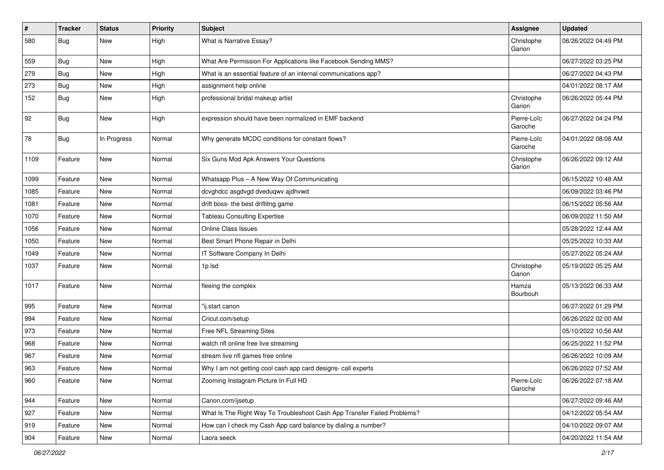| $\vert$ # | <b>Tracker</b> | <b>Status</b> | <b>Priority</b> | <b>Subject</b>                                                           | <b>Assignee</b>        | <b>Updated</b>      |
|-----------|----------------|---------------|-----------------|--------------------------------------------------------------------------|------------------------|---------------------|
| 580       | <b>Bug</b>     | New           | High            | What is Narrative Essay?                                                 | Christophe<br>Garion   | 06/26/2022 04:49 PM |
| 559       | Bug            | New           | High            | What Are Permission For Applications like Facebook Sending MMS?          |                        | 06/27/2022 03:25 PM |
| 279       | Bug            | New           | High            | What is an essential feature of an internal communications app?          |                        | 06/27/2022 04:43 PM |
| 273       | Bug            | New           | High            | assignment help online                                                   |                        | 04/01/2022 08:17 AM |
| 152       | Bug            | New           | High            | professional bridal makeup artist                                        | Christophe<br>Garion   | 06/26/2022 05:44 PM |
| 92        | <b>Bug</b>     | New           | High            | expression should have been normalized in EMF backend                    | Pierre-Loïc<br>Garoche | 06/27/2022 04:24 PM |
| 78        | <b>Bug</b>     | In Progress   | Normal          | Why generate MCDC conditions for constant flows?                         | Pierre-Loïc<br>Garoche | 04/01/2022 08:08 AM |
| 1109      | Feature        | New           | Normal          | Six Guns Mod Apk Answers Your Questions                                  | Christophe<br>Garion   | 06/26/2022 09:12 AM |
| 1099      | Feature        | New           | Normal          | Whatsapp Plus - A New Way Of Communicating                               |                        | 06/15/2022 10:48 AM |
| 1085      | Feature        | <b>New</b>    | Normal          | dcvghdcc asgdvgd dveduqwv ajdhvwd                                        |                        | 06/09/2022 03:46 PM |
| 1081      | Feature        | New           | Normal          | drift boss- the best driftitng game                                      |                        | 06/15/2022 05:56 AM |
| 1070      | Feature        | New           | Normal          | <b>Tableau Consulting Expertise</b>                                      |                        | 06/09/2022 11:50 AM |
| 1056      | Feature        | <b>New</b>    | Normal          | <b>Online Class Issues</b>                                               |                        | 05/28/2022 12:44 AM |
| 1050      | Feature        | <b>New</b>    | Normal          | Best Smart Phone Repair in Delhi                                         |                        | 05/25/2022 10:33 AM |
| 1049      | Feature        | New           | Normal          | IT Software Company In Delhi                                             |                        | 05/27/2022 05:24 AM |
| 1037      | Feature        | <b>New</b>    | Normal          | 1p lsd                                                                   | Christophe<br>Garion   | 05/19/2022 05:25 AM |
| 1017      | Feature        | <b>New</b>    | Normal          | fleeing the complex                                                      | Hamza<br>Bourbouh      | 05/13/2022 06:33 AM |
| 995       | Feature        | New           | Normal          | "ij.start canon                                                          |                        | 06/27/2022 01:29 PM |
| 994       | Feature        | New           | Normal          | Cricut.com/setup                                                         |                        | 06/26/2022 02:00 AM |
| 973       | Feature        | <b>New</b>    | Normal          | Free NFL Streaming Sites                                                 |                        | 05/10/2022 10:56 AM |
| 968       | Feature        | New           | Normal          | watch nfl online free live streaming                                     |                        | 06/25/2022 11:52 PM |
| 967       | Feature        | <b>New</b>    | Normal          | stream live nfl games free online                                        |                        | 06/26/2022 10:09 AM |
| 963       | Feature        | New           | Normal          | Why I am not getting cool cash app card designs- call experts            |                        | 06/26/2022 07:52 AM |
| 960       | Feature        | New           | Normal          | Zooming Instagram Picture In Full HD                                     | Pierre-Loïc<br>Garoche | 06/26/2022 07:18 AM |
| 944       | Feature        | New           | Normal          | Canon.com/ijsetup                                                        |                        | 06/27/2022 09:46 AM |
| 927       | Feature        | New           | Normal          | What Is The Right Way To Troubleshoot Cash App Transfer Failed Problems? |                        | 04/12/2022 05:54 AM |
| 919       | Feature        | New           | Normal          | How can I check my Cash App card balance by dialing a number?            |                        | 04/10/2022 09:07 AM |
| 904       | Feature        | New           | Normal          | Laora seeck                                                              |                        | 04/20/2022 11:54 AM |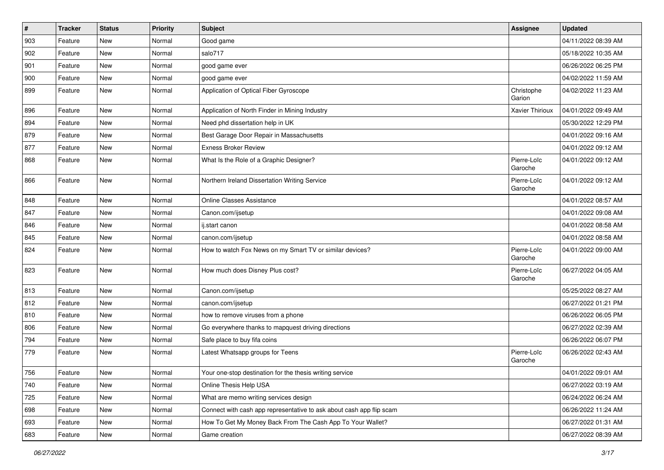| $\vert$ # | <b>Tracker</b> | <b>Status</b> | <b>Priority</b> | Subject                                                              | Assignee               | <b>Updated</b>      |
|-----------|----------------|---------------|-----------------|----------------------------------------------------------------------|------------------------|---------------------|
| 903       | Feature        | <b>New</b>    | Normal          | Good game                                                            |                        | 04/11/2022 08:39 AM |
| 902       | Feature        | New           | Normal          | salo717                                                              |                        | 05/18/2022 10:35 AM |
| 901       | Feature        | New           | Normal          | good game ever                                                       |                        | 06/26/2022 06:25 PM |
| 900       | Feature        | <b>New</b>    | Normal          | good game ever                                                       |                        | 04/02/2022 11:59 AM |
| 899       | Feature        | New           | Normal          | Application of Optical Fiber Gyroscope                               | Christophe<br>Garion   | 04/02/2022 11:23 AM |
| 896       | Feature        | <b>New</b>    | Normal          | Application of North Finder in Mining Industry                       | Xavier Thirioux        | 04/01/2022 09:49 AM |
| 894       | Feature        | New           | Normal          | Need phd dissertation help in UK                                     |                        | 05/30/2022 12:29 PM |
| 879       | Feature        | <b>New</b>    | Normal          | Best Garage Door Repair in Massachusetts                             |                        | 04/01/2022 09:16 AM |
| 877       | Feature        | New           | Normal          | <b>Exness Broker Review</b>                                          |                        | 04/01/2022 09:12 AM |
| 868       | Feature        | <b>New</b>    | Normal          | What Is the Role of a Graphic Designer?                              | Pierre-Loïc<br>Garoche | 04/01/2022 09:12 AM |
| 866       | Feature        | New           | Normal          | Northern Ireland Dissertation Writing Service                        | Pierre-Loïc<br>Garoche | 04/01/2022 09:12 AM |
| 848       | Feature        | New           | Normal          | Online Classes Assistance                                            |                        | 04/01/2022 08:57 AM |
| 847       | Feature        | New           | Normal          | Canon.com/ijsetup                                                    |                        | 04/01/2022 09:08 AM |
| 846       | Feature        | <b>New</b>    | Normal          | ij.start canon                                                       |                        | 04/01/2022 08:58 AM |
| 845       | Feature        | New           | Normal          | canon.com/ijsetup                                                    |                        | 04/01/2022 08:58 AM |
| 824       | Feature        | <b>New</b>    | Normal          | How to watch Fox News on my Smart TV or similar devices?             | Pierre-Loïc<br>Garoche | 04/01/2022 09:00 AM |
| 823       | Feature        | New           | Normal          | How much does Disney Plus cost?                                      | Pierre-Loïc<br>Garoche | 06/27/2022 04:05 AM |
| 813       | Feature        | <b>New</b>    | Normal          | Canon.com/ijsetup                                                    |                        | 05/25/2022 08:27 AM |
| 812       | Feature        | New           | Normal          | canon.com/ijsetup                                                    |                        | 06/27/2022 01:21 PM |
| 810       | Feature        | <b>New</b>    | Normal          | how to remove viruses from a phone                                   |                        | 06/26/2022 06:05 PM |
| 806       | Feature        | New           | Normal          | Go everywhere thanks to mapquest driving directions                  |                        | 06/27/2022 02:39 AM |
| 794       | Feature        | <b>New</b>    | Normal          | Safe place to buy fifa coins                                         |                        | 06/26/2022 06:07 PM |
| 779       | Feature        | <b>New</b>    | Normal          | Latest Whatsapp groups for Teens                                     | Pierre-Loïc<br>Garoche | 06/26/2022 02:43 AM |
| 756       | Feature        | New           | Normal          | Your one-stop destination for the thesis writing service             |                        | 04/01/2022 09:01 AM |
| 740       | Feature        | New           | Normal          | Online Thesis Help USA                                               |                        | 06/27/2022 03:19 AM |
| 725       | Feature        | New           | Normal          | What are memo writing services design                                |                        | 06/24/2022 06:24 AM |
| 698       | Feature        | New           | Normal          | Connect with cash app representative to ask about cash app flip scam |                        | 06/26/2022 11:24 AM |
| 693       | Feature        | New           | Normal          | How To Get My Money Back From The Cash App To Your Wallet?           |                        | 06/27/2022 01:31 AM |
| 683       | Feature        | New           | Normal          | Game creation                                                        |                        | 06/27/2022 08:39 AM |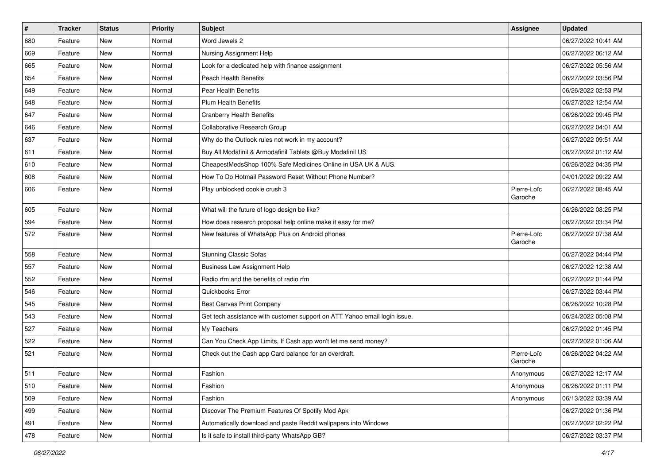| $\sharp$ | <b>Tracker</b> | <b>Status</b> | <b>Priority</b> | <b>Subject</b>                                                            | Assignee               | <b>Updated</b>      |
|----------|----------------|---------------|-----------------|---------------------------------------------------------------------------|------------------------|---------------------|
| 680      | Feature        | New           | Normal          | Word Jewels 2                                                             |                        | 06/27/2022 10:41 AM |
| 669      | Feature        | <b>New</b>    | Normal          | Nursing Assignment Help                                                   |                        | 06/27/2022 06:12 AM |
| 665      | Feature        | New           | Normal          | Look for a dedicated help with finance assignment                         |                        | 06/27/2022 05:56 AM |
| 654      | Feature        | New           | Normal          | <b>Peach Health Benefits</b>                                              |                        | 06/27/2022 03:56 PM |
| 649      | Feature        | <b>New</b>    | Normal          | <b>Pear Health Benefits</b>                                               |                        | 06/26/2022 02:53 PM |
| 648      | Feature        | <b>New</b>    | Normal          | <b>Plum Health Benefits</b>                                               |                        | 06/27/2022 12:54 AM |
| 647      | Feature        | <b>New</b>    | Normal          | <b>Cranberry Health Benefits</b>                                          |                        | 06/26/2022 09:45 PM |
| 646      | Feature        | New           | Normal          | Collaborative Research Group                                              |                        | 06/27/2022 04:01 AM |
| 637      | Feature        | New           | Normal          | Why do the Outlook rules not work in my account?                          |                        | 06/27/2022 09:51 AM |
| 611      | Feature        | <b>New</b>    | Normal          | Buy All Modafinil & Armodafinil Tablets @Buy Modafinil US                 |                        | 06/27/2022 01:12 AM |
| 610      | Feature        | <b>New</b>    | Normal          | CheapestMedsShop 100% Safe Medicines Online in USA UK & AUS.              |                        | 06/26/2022 04:35 PM |
| 608      | Feature        | <b>New</b>    | Normal          | How To Do Hotmail Password Reset Without Phone Number?                    |                        | 04/01/2022 09:22 AM |
| 606      | Feature        | New           | Normal          | Play unblocked cookie crush 3                                             | Pierre-Loïc<br>Garoche | 06/27/2022 08:45 AM |
| 605      | Feature        | <b>New</b>    | Normal          | What will the future of logo design be like?                              |                        | 06/26/2022 08:25 PM |
| 594      | Feature        | New           | Normal          | How does research proposal help online make it easy for me?               |                        | 06/27/2022 03:34 PM |
| 572      | Feature        | New           | Normal          | New features of WhatsApp Plus on Android phones                           | Pierre-Loïc<br>Garoche | 06/27/2022 07:38 AM |
| 558      | Feature        | <b>New</b>    | Normal          | <b>Stunning Classic Sofas</b>                                             |                        | 06/27/2022 04:44 PM |
| 557      | Feature        | <b>New</b>    | Normal          | <b>Business Law Assignment Help</b>                                       |                        | 06/27/2022 12:38 AM |
| 552      | Feature        | <b>New</b>    | Normal          | Radio rfm and the benefits of radio rfm                                   |                        | 06/27/2022 01:44 PM |
| 546      | Feature        | New           | Normal          | Quickbooks Error                                                          |                        | 06/27/2022 03:44 PM |
| 545      | Feature        | <b>New</b>    | Normal          | Best Canvas Print Company                                                 |                        | 06/26/2022 10:28 PM |
| 543      | Feature        | <b>New</b>    | Normal          | Get tech assistance with customer support on ATT Yahoo email login issue. |                        | 06/24/2022 05:08 PM |
| 527      | Feature        | New           | Normal          | My Teachers                                                               |                        | 06/27/2022 01:45 PM |
| 522      | Feature        | <b>New</b>    | Normal          | Can You Check App Limits, If Cash app won't let me send money?            |                        | 06/27/2022 01:06 AM |
| 521      | Feature        | New           | Normal          | Check out the Cash app Card balance for an overdraft.                     | Pierre-Loïc<br>Garoche | 06/26/2022 04:22 AM |
| 511      | Feature        | New           | Normal          | Fashion                                                                   | Anonymous              | 06/27/2022 12:17 AM |
| 510      | Feature        | <b>New</b>    | Normal          | Fashion                                                                   | Anonymous              | 06/26/2022 01:11 PM |
| 509      | Feature        | New           | Normal          | Fashion                                                                   | Anonymous              | 06/13/2022 03:39 AM |
| 499      | Feature        | New           | Normal          | Discover The Premium Features Of Spotify Mod Apk                          |                        | 06/27/2022 01:36 PM |
| 491      | Feature        | New           | Normal          | Automatically download and paste Reddit wallpapers into Windows           |                        | 06/27/2022 02:22 PM |
| 478      | Feature        | New           | Normal          | Is it safe to install third-party WhatsApp GB?                            |                        | 06/27/2022 03:37 PM |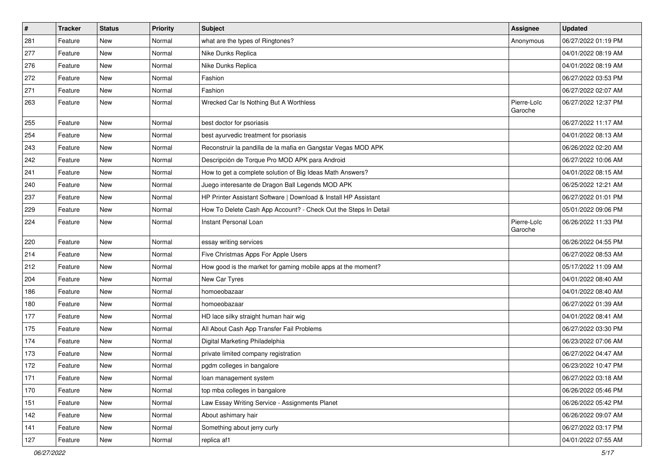| $\sharp$ | <b>Tracker</b> | <b>Status</b> | <b>Priority</b> | <b>Subject</b>                                                  | Assignee               | <b>Updated</b>      |
|----------|----------------|---------------|-----------------|-----------------------------------------------------------------|------------------------|---------------------|
| 281      | Feature        | New           | Normal          | what are the types of Ringtones?                                | Anonymous              | 06/27/2022 01:19 PM |
| 277      | Feature        | <b>New</b>    | Normal          | Nike Dunks Replica                                              |                        | 04/01/2022 08:19 AM |
| 276      | Feature        | New           | Normal          | Nike Dunks Replica                                              |                        | 04/01/2022 08:19 AM |
| 272      | Feature        | <b>New</b>    | Normal          | Fashion                                                         |                        | 06/27/2022 03:53 PM |
| 271      | Feature        | <b>New</b>    | Normal          | Fashion                                                         |                        | 06/27/2022 02:07 AM |
| 263      | Feature        | New           | Normal          | Wrecked Car Is Nothing But A Worthless                          | Pierre-Loïc<br>Garoche | 06/27/2022 12:37 PM |
| 255      | Feature        | <b>New</b>    | Normal          | best doctor for psoriasis                                       |                        | 06/27/2022 11:17 AM |
| 254      | Feature        | New           | Normal          | best ayurvedic treatment for psoriasis                          |                        | 04/01/2022 08:13 AM |
| 243      | Feature        | <b>New</b>    | Normal          | Reconstruir la pandilla de la mafia en Gangstar Vegas MOD APK   |                        | 06/26/2022 02:20 AM |
| 242      | Feature        | New           | Normal          | Descripción de Torque Pro MOD APK para Android                  |                        | 06/27/2022 10:06 AM |
| 241      | Feature        | New           | Normal          | How to get a complete solution of Big Ideas Math Answers?       |                        | 04/01/2022 08:15 AM |
| 240      | Feature        | New           | Normal          | Juego interesante de Dragon Ball Legends MOD APK                |                        | 06/25/2022 12:21 AM |
| 237      | Feature        | New           | Normal          | HP Printer Assistant Software   Download & Install HP Assistant |                        | 06/27/2022 01:01 PM |
| 229      | Feature        | <b>New</b>    | Normal          | How To Delete Cash App Account? - Check Out the Steps In Detail |                        | 05/01/2022 09:06 PM |
| 224      | Feature        | New           | Normal          | Instant Personal Loan                                           | Pierre-Loïc<br>Garoche | 06/26/2022 11:33 PM |
| 220      | Feature        | <b>New</b>    | Normal          | essay writing services                                          |                        | 06/26/2022 04:55 PM |
| 214      | Feature        | New           | Normal          | Five Christmas Apps For Apple Users                             |                        | 06/27/2022 08:53 AM |
| 212      | Feature        | New           | Normal          | How good is the market for gaming mobile apps at the moment?    |                        | 05/17/2022 11:09 AM |
| 204      | Feature        | New           | Normal          | New Car Tyres                                                   |                        | 04/01/2022 08:40 AM |
| 186      | Feature        | New           | Normal          | homoeobazaar                                                    |                        | 04/01/2022 08:40 AM |
| 180      | Feature        | <b>New</b>    | Normal          | homoeobazaar                                                    |                        | 06/27/2022 01:39 AM |
| 177      | Feature        | New           | Normal          | HD lace silky straight human hair wig                           |                        | 04/01/2022 08:41 AM |
| 175      | Feature        | New           | Normal          | All About Cash App Transfer Fail Problems                       |                        | 06/27/2022 03:30 PM |
| 174      | Feature        | <b>New</b>    | Normal          | Digital Marketing Philadelphia                                  |                        | 06/23/2022 07:06 AM |
| 173      | Feature        | New           | Normal          | private limited company registration                            |                        | 06/27/2022 04:47 AM |
| 172      | Feature        | New           | Normal          | pgdm colleges in bangalore                                      |                        | 06/23/2022 10:47 PM |
| 171      | Feature        | New           | Normal          | loan management system                                          |                        | 06/27/2022 03:18 AM |
| 170      | Feature        | <b>New</b>    | Normal          | top mba colleges in bangalore                                   |                        | 06/26/2022 05:46 PM |
| 151      | Feature        | New           | Normal          | Law Essay Writing Service - Assignments Planet                  |                        | 06/26/2022 05:42 PM |
| 142      | Feature        | New           | Normal          | About ashimary hair                                             |                        | 06/26/2022 09:07 AM |
| 141      | Feature        | <b>New</b>    | Normal          | Something about jerry curly                                     |                        | 06/27/2022 03:17 PM |
| 127      | Feature        | New           | Normal          | replica af1                                                     |                        | 04/01/2022 07:55 AM |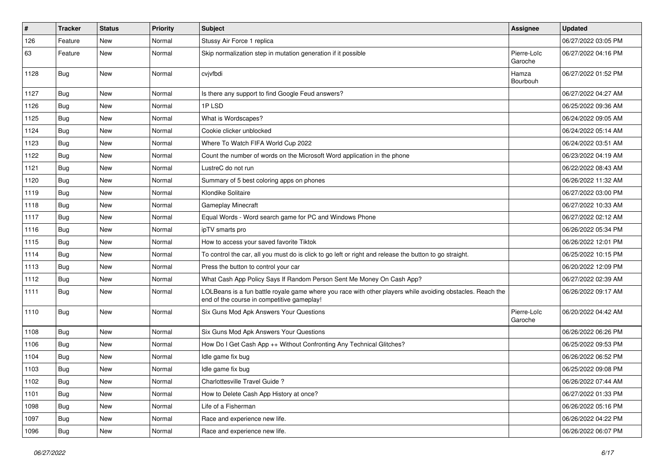| $\#$ | <b>Tracker</b> | <b>Status</b> | <b>Priority</b> | <b>Subject</b>                                                                                                                                           | Assignee               | <b>Updated</b>      |
|------|----------------|---------------|-----------------|----------------------------------------------------------------------------------------------------------------------------------------------------------|------------------------|---------------------|
| 126  | Feature        | New           | Normal          | Stussy Air Force 1 replica                                                                                                                               |                        | 06/27/2022 03:05 PM |
| 63   | Feature        | <b>New</b>    | Normal          | Skip normalization step in mutation generation if it possible                                                                                            | Pierre-Loïc<br>Garoche | 06/27/2022 04:16 PM |
| 1128 | Bug            | <b>New</b>    | Normal          | cvjvfbdi                                                                                                                                                 | Hamza<br>Bourbouh      | 06/27/2022 01:52 PM |
| 1127 | Bug            | New           | Normal          | Is there any support to find Google Feud answers?                                                                                                        |                        | 06/27/2022 04:27 AM |
| 1126 | Bug            | <b>New</b>    | Normal          | 1PLSD                                                                                                                                                    |                        | 06/25/2022 09:36 AM |
| 1125 | Bug            | <b>New</b>    | Normal          | What is Wordscapes?                                                                                                                                      |                        | 06/24/2022 09:05 AM |
| 1124 | Bug            | New           | Normal          | Cookie clicker unblocked                                                                                                                                 |                        | 06/24/2022 05:14 AM |
| 1123 | Bug            | <b>New</b>    | Normal          | Where To Watch FIFA World Cup 2022                                                                                                                       |                        | 06/24/2022 03:51 AM |
| 1122 | Bug            | New           | Normal          | Count the number of words on the Microsoft Word application in the phone                                                                                 |                        | 06/23/2022 04:19 AM |
| 1121 | Bug            | New           | Normal          | LustreC do not run                                                                                                                                       |                        | 06/22/2022 08:43 AM |
| 1120 | Bug            | <b>New</b>    | Normal          | Summary of 5 best coloring apps on phones                                                                                                                |                        | 06/26/2022 11:32 AM |
| 1119 | Bug            | New           | Normal          | Klondike Solitaire                                                                                                                                       |                        | 06/27/2022 03:00 PM |
| 1118 | Bug            | New           | Normal          | <b>Gameplay Minecraft</b>                                                                                                                                |                        | 06/27/2022 10:33 AM |
| 1117 | Bug            | New           | Normal          | Equal Words - Word search game for PC and Windows Phone                                                                                                  |                        | 06/27/2022 02:12 AM |
| 1116 | Bug            | <b>New</b>    | Normal          | ipTV smarts pro                                                                                                                                          |                        | 06/26/2022 05:34 PM |
| 1115 | Bug            | <b>New</b>    | Normal          | How to access your saved favorite Tiktok                                                                                                                 |                        | 06/26/2022 12:01 PM |
| 1114 | Bug            | New           | Normal          | To control the car, all you must do is click to go left or right and release the button to go straight.                                                  |                        | 06/25/2022 10:15 PM |
| 1113 | Bug            | <b>New</b>    | Normal          | Press the button to control your car                                                                                                                     |                        | 06/20/2022 12:09 PM |
| 1112 | Bug            | <b>New</b>    | Normal          | What Cash App Policy Says If Random Person Sent Me Money On Cash App?                                                                                    |                        | 06/27/2022 02:39 AM |
| 1111 | Bug            | New           | Normal          | LOLBeans is a fun battle royale game where you race with other players while avoiding obstacles. Reach the<br>end of the course in competitive gameplay! |                        | 06/26/2022 09:17 AM |
| 1110 | Bug            | <b>New</b>    | Normal          | Six Guns Mod Apk Answers Your Questions                                                                                                                  | Pierre-Loïc<br>Garoche | 06/20/2022 04:42 AM |
| 1108 | Bug            | <b>New</b>    | Normal          | Six Guns Mod Apk Answers Your Questions                                                                                                                  |                        | 06/26/2022 06:26 PM |
| 1106 | Bug            | New           | Normal          | How Do I Get Cash App ++ Without Confronting Any Technical Glitches?                                                                                     |                        | 06/25/2022 09:53 PM |
| 1104 | Bug            | New           | Normal          | Idle game fix bug                                                                                                                                        |                        | 06/26/2022 06:52 PM |
| 1103 | Bug            | New           | Normal          | Idle game fix bug                                                                                                                                        |                        | 06/25/2022 09:08 PM |
| 1102 | Bug            | New           | Normal          | Charlottesville Travel Guide?                                                                                                                            |                        | 06/26/2022 07:44 AM |
| 1101 | Bug            | New           | Normal          | How to Delete Cash App History at once?                                                                                                                  |                        | 06/27/2022 01:33 PM |
| 1098 | Bug            | New           | Normal          | Life of a Fisherman                                                                                                                                      |                        | 06/26/2022 05:16 PM |
| 1097 | Bug            | New           | Normal          | Race and experience new life.                                                                                                                            |                        | 06/26/2022 04:22 PM |
| 1096 | Bug            | New           | Normal          | Race and experience new life.                                                                                                                            |                        | 06/26/2022 06:07 PM |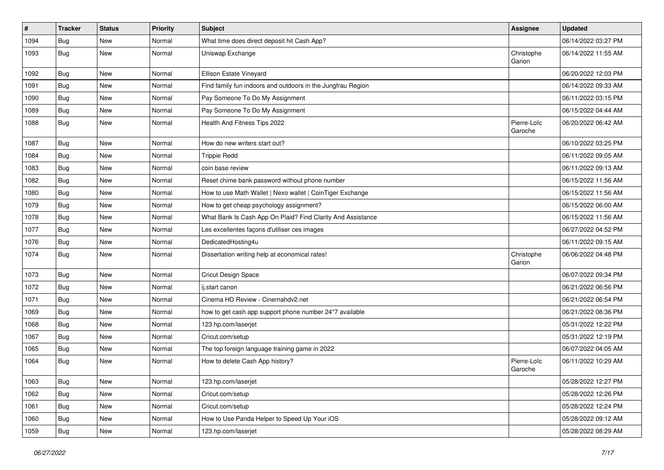| $\#$ | <b>Tracker</b> | <b>Status</b> | Priority | <b>Subject</b>                                              | <b>Assignee</b>        | <b>Updated</b>      |
|------|----------------|---------------|----------|-------------------------------------------------------------|------------------------|---------------------|
| 1094 | Bug            | New           | Normal   | What time does direct deposit hit Cash App?                 |                        | 06/14/2022 03:27 PM |
| 1093 | Bug            | New           | Normal   | Uniswap Exchange                                            | Christophe<br>Garion   | 06/14/2022 11:55 AM |
| 1092 | Bug            | <b>New</b>    | Normal   | Ellison Estate Vineyard                                     |                        | 06/20/2022 12:03 PM |
| 1091 | Bug            | <b>New</b>    | Normal   | Find family fun indoors and outdoors in the Jungfrau Region |                        | 06/14/2022 09:33 AM |
| 1090 | Bug            | New           | Normal   | Pay Someone To Do My Assignment                             |                        | 06/11/2022 03:15 PM |
| 1089 | Bug            | <b>New</b>    | Normal   | Pay Someone To Do My Assignment                             |                        | 06/15/2022 04:44 AM |
| 1088 | Bug            | <b>New</b>    | Normal   | Health And Fitness Tips 2022                                | Pierre-Loïc<br>Garoche | 06/20/2022 06:42 AM |
| 1087 | Bug            | <b>New</b>    | Normal   | How do new writers start out?                               |                        | 06/10/2022 03:25 PM |
| 1084 | Bug            | New           | Normal   | <b>Trippie Redd</b>                                         |                        | 06/11/2022 09:05 AM |
| 1083 | Bug            | New           | Normal   | coin base review                                            |                        | 06/11/2022 09:13 AM |
| 1082 | Bug            | <b>New</b>    | Normal   | Reset chime bank password without phone number              |                        | 06/15/2022 11:56 AM |
| 1080 | Bug            | New           | Normal   | How to use Math Wallet   Nexo wallet   CoinTiger Exchange   |                        | 06/15/2022 11:56 AM |
| 1079 | Bug            | <b>New</b>    | Normal   | How to get cheap psychology assignment?                     |                        | 06/15/2022 06:00 AM |
| 1078 | <b>Bug</b>     | New           | Normal   | What Bank Is Cash App On Plaid? Find Clarity And Assistance |                        | 06/15/2022 11:56 AM |
| 1077 | Bug            | New           | Normal   | Les excellentes façons d'utiliser ces images                |                        | 06/27/2022 04:52 PM |
| 1076 | Bug            | <b>New</b>    | Normal   | DedicatedHosting4u                                          |                        | 06/11/2022 09:15 AM |
| 1074 | <b>Bug</b>     | New           | Normal   | Dissertation writing help at economical rates!              | Christophe<br>Garion   | 06/06/2022 04:48 PM |
| 1073 | Bug            | <b>New</b>    | Normal   | <b>Cricut Design Space</b>                                  |                        | 06/07/2022 09:34 PM |
| 1072 | Bug            | <b>New</b>    | Normal   | ij.start canon                                              |                        | 06/21/2022 06:56 PM |
| 1071 | <b>Bug</b>     | <b>New</b>    | Normal   | Cinema HD Review - Cinemahdv2.net                           |                        | 06/21/2022 06:54 PM |
| 1069 | Bug            | New           | Normal   | how to get cash app support phone number 24*7 available     |                        | 06/21/2022 08:36 PM |
| 1068 | Bug            | New           | Normal   | 123.hp.com/laserjet                                         |                        | 05/31/2022 12:22 PM |
| 1067 | Bug            | New           | Normal   | Cricut.com/setup                                            |                        | 05/31/2022 12:19 PM |
| 1065 | Bug            | New           | Normal   | The top foreign language training game in 2022              |                        | 06/07/2022 04:05 AM |
| 1064 | Bug            | New           | Normal   | How to delete Cash App history?                             | Pierre-Loïc<br>Garoche | 06/11/2022 10:29 AM |
| 1063 | <b>Bug</b>     | New           | Normal   | 123.hp.com/laserjet                                         |                        | 05/28/2022 12:27 PM |
| 1062 | <b>Bug</b>     | New           | Normal   | Cricut.com/setup                                            |                        | 05/28/2022 12:26 PM |
| 1061 | Bug            | New           | Normal   | Cricut.com/setup                                            |                        | 05/28/2022 12:24 PM |
| 1060 | Bug            | New           | Normal   | How to Use Panda Helper to Speed Up Your iOS                |                        | 05/28/2022 09:12 AM |
| 1059 | <b>Bug</b>     | New           | Normal   | 123.hp.com/laserjet                                         |                        | 05/28/2022 08:29 AM |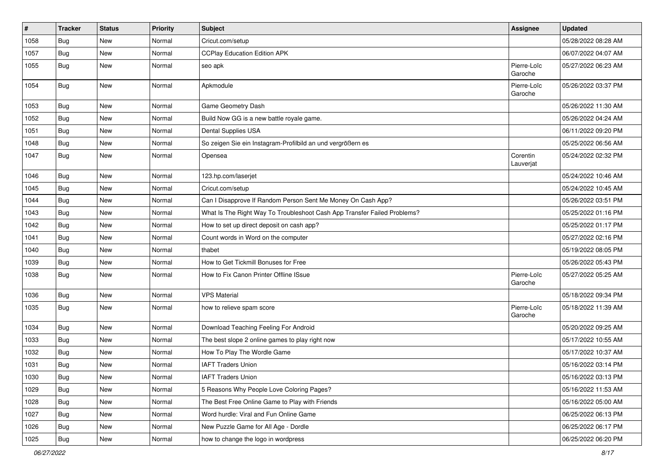| $\vert$ # | <b>Tracker</b> | <b>Status</b> | Priority | <b>Subject</b>                                                           | <b>Assignee</b>        | <b>Updated</b>      |
|-----------|----------------|---------------|----------|--------------------------------------------------------------------------|------------------------|---------------------|
| 1058      | <b>Bug</b>     | New           | Normal   | Cricut.com/setup                                                         |                        | 05/28/2022 08:28 AM |
| 1057      | Bug            | New           | Normal   | <b>CCPlay Education Edition APK</b>                                      |                        | 06/07/2022 04:07 AM |
| 1055      | Bug            | New           | Normal   | seo apk                                                                  | Pierre-Loïc<br>Garoche | 05/27/2022 06:23 AM |
| 1054      | <b>Bug</b>     | New           | Normal   | Apkmodule                                                                | Pierre-Loïc<br>Garoche | 05/26/2022 03:37 PM |
| 1053      | Bug            | New           | Normal   | Game Geometry Dash                                                       |                        | 05/26/2022 11:30 AM |
| 1052      | Bug            | New           | Normal   | Build Now GG is a new battle royale game.                                |                        | 05/26/2022 04:24 AM |
| 1051      | Bug            | New           | Normal   | Dental Supplies USA                                                      |                        | 06/11/2022 09:20 PM |
| 1048      | <b>Bug</b>     | New           | Normal   | So zeigen Sie ein Instagram-Profilbild an und vergrößern es              |                        | 05/25/2022 06:56 AM |
| 1047      | Bug            | New           | Normal   | Opensea                                                                  | Corentin<br>Lauverjat  | 05/24/2022 02:32 PM |
| 1046      | Bug            | New           | Normal   | 123.hp.com/laserjet                                                      |                        | 05/24/2022 10:46 AM |
| 1045      | Bug            | New           | Normal   | Cricut.com/setup                                                         |                        | 05/24/2022 10:45 AM |
| 1044      | Bug            | New           | Normal   | Can I Disapprove If Random Person Sent Me Money On Cash App?             |                        | 05/26/2022 03:51 PM |
| 1043      | Bug            | New           | Normal   | What Is The Right Way To Troubleshoot Cash App Transfer Failed Problems? |                        | 05/25/2022 01:16 PM |
| 1042      | Bug            | New           | Normal   | How to set up direct deposit on cash app?                                |                        | 05/25/2022 01:17 PM |
| 1041      | Bug            | <b>New</b>    | Normal   | Count words in Word on the computer                                      |                        | 05/27/2022 02:16 PM |
| 1040      | Bug            | New           | Normal   | thabet                                                                   |                        | 05/19/2022 08:05 PM |
| 1039      | <b>Bug</b>     | <b>New</b>    | Normal   | How to Get Tickmill Bonuses for Free                                     |                        | 05/26/2022 05:43 PM |
| 1038      | <b>Bug</b>     | New           | Normal   | How to Fix Canon Printer Offline ISsue                                   | Pierre-Loïc<br>Garoche | 05/27/2022 05:25 AM |
| 1036      | Bug            | New           | Normal   | <b>VPS Material</b>                                                      |                        | 05/18/2022 09:34 PM |
| 1035      | <b>Bug</b>     | New           | Normal   | how to relieve spam score                                                | Pierre-Loïc<br>Garoche | 05/18/2022 11:39 AM |
| 1034      | Bug            | <b>New</b>    | Normal   | Download Teaching Feeling For Android                                    |                        | 05/20/2022 09:25 AM |
| 1033      | Bug            | New           | Normal   | The best slope 2 online games to play right now                          |                        | 05/17/2022 10:55 AM |
| 1032      | <b>Bug</b>     | New           | Normal   | How To Play The Wordle Game                                              |                        | 05/17/2022 10:37 AM |
| 1031      | <b>Bug</b>     | <b>New</b>    | Normal   | <b>IAFT Traders Union</b>                                                |                        | 05/16/2022 03:14 PM |
| 1030      | Bug            | New           | Normal   | <b>IAFT Traders Union</b>                                                |                        | 05/16/2022 03:13 PM |
| 1029      | <b>Bug</b>     | New           | Normal   | 5 Reasons Why People Love Coloring Pages?                                |                        | 05/16/2022 11:53 AM |
| 1028      | Bug            | New           | Normal   | The Best Free Online Game to Play with Friends                           |                        | 05/16/2022 05:00 AM |
| 1027      | Bug            | New           | Normal   | Word hurdle: Viral and Fun Online Game                                   |                        | 06/25/2022 06:13 PM |
| 1026      | Bug            | New           | Normal   | New Puzzle Game for All Age - Dordle                                     |                        | 06/25/2022 06:17 PM |
| 1025      | Bug            | New           | Normal   | how to change the logo in wordpress                                      |                        | 06/25/2022 06:20 PM |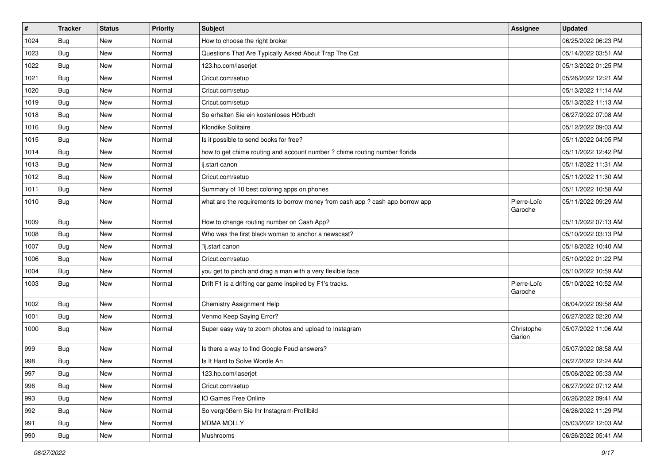| $\vert$ # | <b>Tracker</b> | <b>Status</b> | Priority | <b>Subject</b>                                                                | Assignee               | <b>Updated</b>      |
|-----------|----------------|---------------|----------|-------------------------------------------------------------------------------|------------------------|---------------------|
| 1024      | Bug            | New           | Normal   | How to choose the right broker                                                |                        | 06/25/2022 06:23 PM |
| 1023      | Bug            | <b>New</b>    | Normal   | Questions That Are Typically Asked About Trap The Cat                         |                        | 05/14/2022 03:51 AM |
| 1022      | Bug            | New           | Normal   | 123.hp.com/laserjet                                                           |                        | 05/13/2022 01:25 PM |
| 1021      | Bug            | <b>New</b>    | Normal   | Cricut.com/setup                                                              |                        | 05/26/2022 12:21 AM |
| 1020      | Bug            | <b>New</b>    | Normal   | Cricut.com/setup                                                              |                        | 05/13/2022 11:14 AM |
| 1019      | Bug            | <b>New</b>    | Normal   | Cricut.com/setup                                                              |                        | 05/13/2022 11:13 AM |
| 1018      | Bug            | <b>New</b>    | Normal   | So erhalten Sie ein kostenloses Hörbuch                                       |                        | 06/27/2022 07:08 AM |
| 1016      | Bug            | <b>New</b>    | Normal   | Klondike Solitaire                                                            |                        | 05/12/2022 09:03 AM |
| 1015      | Bug            | <b>New</b>    | Normal   | Is it possible to send books for free?                                        |                        | 05/11/2022 04:05 PM |
| 1014      | Bug            | <b>New</b>    | Normal   | how to get chime routing and account number ? chime routing number florida    |                        | 05/11/2022 12:42 PM |
| 1013      | Bug            | New           | Normal   | ij.start canon                                                                |                        | 05/11/2022 11:31 AM |
| 1012      | Bug            | <b>New</b>    | Normal   | Cricut.com/setup                                                              |                        | 05/11/2022 11:30 AM |
| 1011      | Bug            | <b>New</b>    | Normal   | Summary of 10 best coloring apps on phones                                    |                        | 05/11/2022 10:58 AM |
| 1010      | Bug            | <b>New</b>    | Normal   | what are the requirements to borrow money from cash app ? cash app borrow app | Pierre-Loïc<br>Garoche | 05/11/2022 09:29 AM |
| 1009      | Bug            | New           | Normal   | How to change routing number on Cash App?                                     |                        | 05/11/2022 07:13 AM |
| 1008      | Bug            | <b>New</b>    | Normal   | Who was the first black woman to anchor a newscast?                           |                        | 05/10/2022 03:13 PM |
| 1007      | Bug            | <b>New</b>    | Normal   | "ij.start canon                                                               |                        | 05/18/2022 10:40 AM |
| 1006      | Bug            | <b>New</b>    | Normal   | Cricut.com/setup                                                              |                        | 05/10/2022 01:22 PM |
| 1004      | Bug            | <b>New</b>    | Normal   | you get to pinch and drag a man with a very flexible face                     |                        | 05/10/2022 10:59 AM |
| 1003      | Bug            | <b>New</b>    | Normal   | Drift F1 is a drifting car game inspired by F1's tracks.                      | Pierre-Loïc<br>Garoche | 05/10/2022 10:52 AM |
| 1002      | Bug            | <b>New</b>    | Normal   | Chemistry Assignment Help                                                     |                        | 06/04/2022 09:58 AM |
| 1001      | Bug            | New           | Normal   | Venmo Keep Saying Error?                                                      |                        | 06/27/2022 02:20 AM |
| 1000      | Bug            | <b>New</b>    | Normal   | Super easy way to zoom photos and upload to Instagram                         | Christophe<br>Garion   | 05/07/2022 11:06 AM |
| 999       | Bug            | <b>New</b>    | Normal   | Is there a way to find Google Feud answers?                                   |                        | 05/07/2022 08:58 AM |
| 998       | Bug            | <b>New</b>    | Normal   | Is It Hard to Solve Wordle An                                                 |                        | 06/27/2022 12:24 AM |
| 997       | Bug            | New           | Normal   | 123.hp.com/laserjet                                                           |                        | 05/06/2022 05:33 AM |
| 996       | Bug            | New           | Normal   | Cricut.com/setup                                                              |                        | 06/27/2022 07:12 AM |
| 993       | Bug            | New           | Normal   | IO Games Free Online                                                          |                        | 06/26/2022 09:41 AM |
| 992       | Bug            | New           | Normal   | So vergrößern Sie Ihr Instagram-Profilbild                                    |                        | 06/26/2022 11:29 PM |
| 991       | <b>Bug</b>     | New           | Normal   | <b>MDMA MOLLY</b>                                                             |                        | 05/03/2022 12:03 AM |
| 990       | <b>Bug</b>     | New           | Normal   | Mushrooms                                                                     |                        | 06/26/2022 05:41 AM |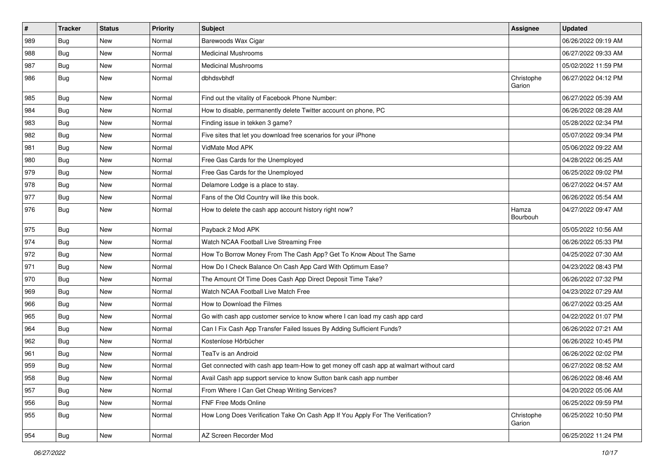| $\#$ | <b>Tracker</b> | <b>Status</b> | <b>Priority</b> | <b>Subject</b>                                                                         | <b>Assignee</b>      | <b>Updated</b>      |
|------|----------------|---------------|-----------------|----------------------------------------------------------------------------------------|----------------------|---------------------|
| 989  | Bug            | New           | Normal          | Barewoods Wax Cigar                                                                    |                      | 06/26/2022 09:19 AM |
| 988  | Bug            | <b>New</b>    | Normal          | <b>Medicinal Mushrooms</b>                                                             |                      | 06/27/2022 09:33 AM |
| 987  | Bug            | New           | Normal          | <b>Medicinal Mushrooms</b>                                                             |                      | 05/02/2022 11:59 PM |
| 986  | Bug            | New           | Normal          | dbhdsvbhdf                                                                             | Christophe<br>Garion | 06/27/2022 04:12 PM |
| 985  | Bug            | New           | Normal          | Find out the vitality of Facebook Phone Number:                                        |                      | 06/27/2022 05:39 AM |
| 984  | Bug            | <b>New</b>    | Normal          | How to disable, permanently delete Twitter account on phone, PC                        |                      | 06/26/2022 08:28 AM |
| 983  | Bug            | New           | Normal          | Finding issue in tekken 3 game?                                                        |                      | 05/28/2022 02:34 PM |
| 982  | Bug            | <b>New</b>    | Normal          | Five sites that let you download free scenarios for your iPhone                        |                      | 05/07/2022 09:34 PM |
| 981  | Bug            | <b>New</b>    | Normal          | VidMate Mod APK                                                                        |                      | 05/06/2022 09:22 AM |
| 980  | Bug            | New           | Normal          | Free Gas Cards for the Unemployed                                                      |                      | 04/28/2022 06:25 AM |
| 979  | Bug            | New           | Normal          | Free Gas Cards for the Unemployed                                                      |                      | 06/25/2022 09:02 PM |
| 978  | Bug            | New           | Normal          | Delamore Lodge is a place to stay.                                                     |                      | 06/27/2022 04:57 AM |
| 977  | Bug            | New           | Normal          | Fans of the Old Country will like this book.                                           |                      | 06/26/2022 05:54 AM |
| 976  | Bug            | New           | Normal          | How to delete the cash app account history right now?                                  | Hamza<br>Bourbouh    | 04/27/2022 09:47 AM |
| 975  | Bug            | <b>New</b>    | Normal          | Payback 2 Mod APK                                                                      |                      | 05/05/2022 10:56 AM |
| 974  | Bug            | New           | Normal          | Watch NCAA Football Live Streaming Free                                                |                      | 06/26/2022 05:33 PM |
| 972  | Bug            | New           | Normal          | How To Borrow Money From The Cash App? Get To Know About The Same                      |                      | 04/25/2022 07:30 AM |
| 971  | Bug            | New           | Normal          | How Do I Check Balance On Cash App Card With Optimum Ease?                             |                      | 04/23/2022 08:43 PM |
| 970  | <b>Bug</b>     | New           | Normal          | The Amount Of Time Does Cash App Direct Deposit Time Take?                             |                      | 06/26/2022 07:32 PM |
| 969  | Bug            | <b>New</b>    | Normal          | Watch NCAA Football Live Match Free                                                    |                      | 04/23/2022 07:29 AM |
| 966  | Bug            | <b>New</b>    | Normal          | How to Download the Filmes                                                             |                      | 06/27/2022 03:25 AM |
| 965  | Bug            | New           | Normal          | Go with cash app customer service to know where I can load my cash app card            |                      | 04/22/2022 01:07 PM |
| 964  | Bug            | New           | Normal          | Can I Fix Cash App Transfer Failed Issues By Adding Sufficient Funds?                  |                      | 06/26/2022 07:21 AM |
| 962  | Bug            | <b>New</b>    | Normal          | Kostenlose Hörbücher                                                                   |                      | 06/26/2022 10:45 PM |
| 961  | Bug            | New           | Normal          | TeaTv is an Android                                                                    |                      | 06/26/2022 02:02 PM |
| 959  | Bug            | New           | Normal          | Get connected with cash app team-How to get money off cash app at walmart without card |                      | 06/27/2022 08:52 AM |
| 958  | Bug            | New           | Normal          | Avail Cash app support service to know Sutton bank cash app number                     |                      | 06/26/2022 08:46 AM |
| 957  | Bug            | <b>New</b>    | Normal          | From Where I Can Get Cheap Writing Services?                                           |                      | 04/20/2022 05:06 AM |
| 956  | Bug            | New           | Normal          | FNF Free Mods Online                                                                   |                      | 06/25/2022 09:59 PM |
| 955  | Bug            | New           | Normal          | How Long Does Verification Take On Cash App If You Apply For The Verification?         | Christophe<br>Garion | 06/25/2022 10:50 PM |
| 954  | <b>Bug</b>     | New           | Normal          | AZ Screen Recorder Mod                                                                 |                      | 06/25/2022 11:24 PM |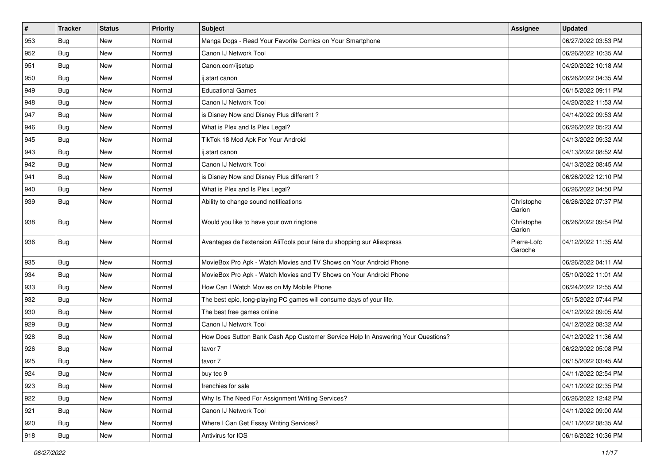| $\vert$ # | <b>Tracker</b> | <b>Status</b> | Priority | <b>Subject</b>                                                                   | <b>Assignee</b>        | <b>Updated</b>      |
|-----------|----------------|---------------|----------|----------------------------------------------------------------------------------|------------------------|---------------------|
| 953       | Bug            | New           | Normal   | Manga Dogs - Read Your Favorite Comics on Your Smartphone                        |                        | 06/27/2022 03:53 PM |
| 952       | Bug            | <b>New</b>    | Normal   | Canon IJ Network Tool                                                            |                        | 06/26/2022 10:35 AM |
| 951       | Bug            | New           | Normal   | Canon.com/ijsetup                                                                |                        | 04/20/2022 10:18 AM |
| 950       | Bug            | <b>New</b>    | Normal   | ij.start canon                                                                   |                        | 06/26/2022 04:35 AM |
| 949       | Bug            | <b>New</b>    | Normal   | <b>Educational Games</b>                                                         |                        | 06/15/2022 09:11 PM |
| 948       | Bug            | <b>New</b>    | Normal   | Canon IJ Network Tool                                                            |                        | 04/20/2022 11:53 AM |
| 947       | Bug            | <b>New</b>    | Normal   | is Disney Now and Disney Plus different?                                         |                        | 04/14/2022 09:53 AM |
| 946       | Bug            | <b>New</b>    | Normal   | What is Plex and Is Plex Legal?                                                  |                        | 06/26/2022 05:23 AM |
| 945       | Bug            | <b>New</b>    | Normal   | TikTok 18 Mod Apk For Your Android                                               |                        | 04/13/2022 09:32 AM |
| 943       | Bug            | <b>New</b>    | Normal   | ij.start canon                                                                   |                        | 04/13/2022 08:52 AM |
| 942       | Bug            | New           | Normal   | Canon IJ Network Tool                                                            |                        | 04/13/2022 08:45 AM |
| 941       | Bug            | <b>New</b>    | Normal   | is Disney Now and Disney Plus different?                                         |                        | 06/26/2022 12:10 PM |
| 940       | Bug            | <b>New</b>    | Normal   | What is Plex and Is Plex Legal?                                                  |                        | 06/26/2022 04:50 PM |
| 939       | Bug            | <b>New</b>    | Normal   | Ability to change sound notifications                                            | Christophe<br>Garion   | 06/26/2022 07:37 PM |
| 938       | Bug            | New           | Normal   | Would you like to have your own ringtone                                         | Christophe<br>Garion   | 06/26/2022 09:54 PM |
| 936       | Bug            | <b>New</b>    | Normal   | Avantages de l'extension AliTools pour faire du shopping sur Aliexpress          | Pierre-Loïc<br>Garoche | 04/12/2022 11:35 AM |
| 935       | Bug            | <b>New</b>    | Normal   | MovieBox Pro Apk - Watch Movies and TV Shows on Your Android Phone               |                        | 06/26/2022 04:11 AM |
| 934       | Bug            | New           | Normal   | MovieBox Pro Apk - Watch Movies and TV Shows on Your Android Phone               |                        | 05/10/2022 11:01 AM |
| 933       | Bug            | <b>New</b>    | Normal   | How Can I Watch Movies on My Mobile Phone                                        |                        | 06/24/2022 12:55 AM |
| 932       | Bug            | <b>New</b>    | Normal   | The best epic, long-playing PC games will consume days of your life.             |                        | 05/15/2022 07:44 PM |
| 930       | <b>Bug</b>     | New           | Normal   | The best free games online                                                       |                        | 04/12/2022 09:05 AM |
| 929       | Bug            | <b>New</b>    | Normal   | Canon IJ Network Tool                                                            |                        | 04/12/2022 08:32 AM |
| 928       | Bug            | <b>New</b>    | Normal   | How Does Sutton Bank Cash App Customer Service Help In Answering Your Questions? |                        | 04/12/2022 11:36 AM |
| 926       | Bug            | New           | Normal   | tavor 7                                                                          |                        | 06/22/2022 05:08 PM |
| 925       | Bug            | <b>New</b>    | Normal   | tavor 7                                                                          |                        | 06/15/2022 03:45 AM |
| 924       | Bug            | New           | Normal   | buy tec 9                                                                        |                        | 04/11/2022 02:54 PM |
| 923       | Bug            | New           | Normal   | frenchies for sale                                                               |                        | 04/11/2022 02:35 PM |
| 922       | Bug            | New           | Normal   | Why Is The Need For Assignment Writing Services?                                 |                        | 06/26/2022 12:42 PM |
| 921       | Bug            | New           | Normal   | Canon IJ Network Tool                                                            |                        | 04/11/2022 09:00 AM |
| 920       | <b>Bug</b>     | New           | Normal   | Where I Can Get Essay Writing Services?                                          |                        | 04/11/2022 08:35 AM |
| 918       | <b>Bug</b>     | New           | Normal   | Antivirus for IOS                                                                |                        | 06/16/2022 10:36 PM |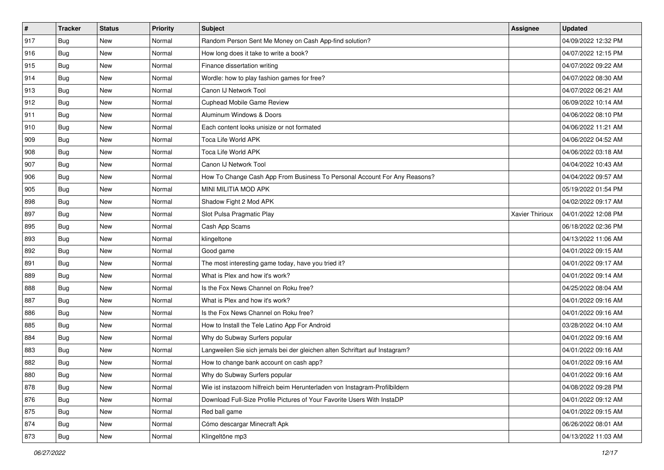| $\sharp$ | <b>Tracker</b> | <b>Status</b> | <b>Priority</b> | Subject                                                                     | <b>Assignee</b> | <b>Updated</b>      |
|----------|----------------|---------------|-----------------|-----------------------------------------------------------------------------|-----------------|---------------------|
| 917      | Bug            | New           | Normal          | Random Person Sent Me Money on Cash App-find solution?                      |                 | 04/09/2022 12:32 PM |
| 916      | <b>Bug</b>     | New           | Normal          | How long does it take to write a book?                                      |                 | 04/07/2022 12:15 PM |
| 915      | <b>Bug</b>     | New           | Normal          | Finance dissertation writing                                                |                 | 04/07/2022 09:22 AM |
| 914      | Bug            | <b>New</b>    | Normal          | Wordle: how to play fashion games for free?                                 |                 | 04/07/2022 08:30 AM |
| 913      | <b>Bug</b>     | <b>New</b>    | Normal          | Canon IJ Network Tool                                                       |                 | 04/07/2022 06:21 AM |
| 912      | <b>Bug</b>     | New           | Normal          | <b>Cuphead Mobile Game Review</b>                                           |                 | 06/09/2022 10:14 AM |
| 911      | <b>Bug</b>     | New           | Normal          | Aluminum Windows & Doors                                                    |                 | 04/06/2022 08:10 PM |
| 910      | <b>Bug</b>     | New           | Normal          | Each content looks unisize or not formated                                  |                 | 04/06/2022 11:21 AM |
| 909      | Bug            | New           | Normal          | Toca Life World APK                                                         |                 | 04/06/2022 04:52 AM |
| 908      | Bug            | <b>New</b>    | Normal          | Toca Life World APK                                                         |                 | 04/06/2022 03:18 AM |
| 907      | <b>Bug</b>     | New           | Normal          | Canon IJ Network Tool                                                       |                 | 04/04/2022 10:43 AM |
| 906      | Bug            | New           | Normal          | How To Change Cash App From Business To Personal Account For Any Reasons?   |                 | 04/04/2022 09:57 AM |
| 905      | Bug            | New           | Normal          | MINI MILITIA MOD APK                                                        |                 | 05/19/2022 01:54 PM |
| 898      | Bug            | New           | Normal          | Shadow Fight 2 Mod APK                                                      |                 | 04/02/2022 09:17 AM |
| 897      | Bug            | New           | Normal          | Slot Pulsa Pragmatic Play                                                   | Xavier Thirioux | 04/01/2022 12:08 PM |
| 895      | Bug            | New           | Normal          | Cash App Scams                                                              |                 | 06/18/2022 02:36 PM |
| 893      | Bug            | New           | Normal          | klingeltone                                                                 |                 | 04/13/2022 11:06 AM |
| 892      | Bug            | New           | Normal          | Good game                                                                   |                 | 04/01/2022 09:15 AM |
| 891      | Bug            | New           | Normal          | The most interesting game today, have you tried it?                         |                 | 04/01/2022 09:17 AM |
| 889      | Bug            | New           | Normal          | What is Plex and how it's work?                                             |                 | 04/01/2022 09:14 AM |
| 888      | Bug            | New           | Normal          | Is the Fox News Channel on Roku free?                                       |                 | 04/25/2022 08:04 AM |
| 887      | Bug            | New           | Normal          | What is Plex and how it's work?                                             |                 | 04/01/2022 09:16 AM |
| 886      | Bug            | <b>New</b>    | Normal          | Is the Fox News Channel on Roku free?                                       |                 | 04/01/2022 09:16 AM |
| 885      | <b>Bug</b>     | New           | Normal          | How to Install the Tele Latino App For Android                              |                 | 03/28/2022 04:10 AM |
| 884      | Bug            | New           | Normal          | Why do Subway Surfers popular                                               |                 | 04/01/2022 09:16 AM |
| 883      | Bug            | New           | Normal          | Langweilen Sie sich jemals bei der gleichen alten Schriftart auf Instagram? |                 | 04/01/2022 09:16 AM |
| 882      | <b>Bug</b>     | New           | Normal          | How to change bank account on cash app?                                     |                 | 04/01/2022 09:16 AM |
| 880      | Bug            | New           | Normal          | Why do Subway Surfers popular                                               |                 | 04/01/2022 09:16 AM |
| 878      | Bug            | New           | Normal          | Wie ist instazoom hilfreich beim Herunterladen von Instagram-Profilbildern  |                 | 04/08/2022 09:28 PM |
| 876      | Bug            | New           | Normal          | Download Full-Size Profile Pictures of Your Favorite Users With InstaDP     |                 | 04/01/2022 09:12 AM |
| 875      | Bug            | New           | Normal          | Red ball game                                                               |                 | 04/01/2022 09:15 AM |
| 874      | Bug            | New           | Normal          | Cómo descargar Minecraft Apk                                                |                 | 06/26/2022 08:01 AM |
| 873      | <b>Bug</b>     | New           | Normal          | Klingeltöne mp3                                                             |                 | 04/13/2022 11:03 AM |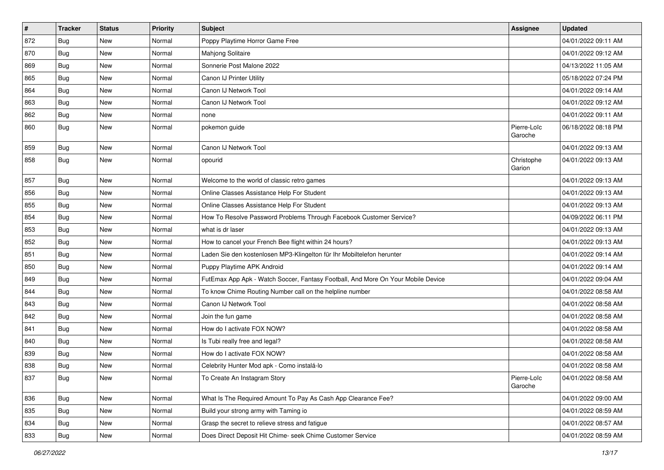| $\vert$ # | <b>Tracker</b> | <b>Status</b> | Priority | <b>Subject</b>                                                                   | <b>Assignee</b>        | <b>Updated</b>      |
|-----------|----------------|---------------|----------|----------------------------------------------------------------------------------|------------------------|---------------------|
| 872       | Bug            | <b>New</b>    | Normal   | Poppy Playtime Horror Game Free                                                  |                        | 04/01/2022 09:11 AM |
| 870       | Bug            | <b>New</b>    | Normal   | Mahjong Solitaire                                                                |                        | 04/01/2022 09:12 AM |
| 869       | Bug            | New           | Normal   | Sonnerie Post Malone 2022                                                        |                        | 04/13/2022 11:05 AM |
| 865       | Bug            | <b>New</b>    | Normal   | Canon IJ Printer Utility                                                         |                        | 05/18/2022 07:24 PM |
| 864       | Bug            | <b>New</b>    | Normal   | Canon IJ Network Tool                                                            |                        | 04/01/2022 09:14 AM |
| 863       | Bug            | <b>New</b>    | Normal   | Canon IJ Network Tool                                                            |                        | 04/01/2022 09:12 AM |
| 862       | Bug            | <b>New</b>    | Normal   | none                                                                             |                        | 04/01/2022 09:11 AM |
| 860       | Bug            | <b>New</b>    | Normal   | pokemon guide                                                                    | Pierre-Loïc<br>Garoche | 06/18/2022 08:18 PM |
| 859       | Bug            | New           | Normal   | Canon IJ Network Tool                                                            |                        | 04/01/2022 09:13 AM |
| 858       | Bug            | <b>New</b>    | Normal   | opourid                                                                          | Christophe<br>Garion   | 04/01/2022 09:13 AM |
| 857       | Bug            | <b>New</b>    | Normal   | Welcome to the world of classic retro games                                      |                        | 04/01/2022 09:13 AM |
| 856       | Bug            | <b>New</b>    | Normal   | Online Classes Assistance Help For Student                                       |                        | 04/01/2022 09:13 AM |
| 855       | Bug            | <b>New</b>    | Normal   | Online Classes Assistance Help For Student                                       |                        | 04/01/2022 09:13 AM |
| 854       | Bug            | <b>New</b>    | Normal   | How To Resolve Password Problems Through Facebook Customer Service?              |                        | 04/09/2022 06:11 PM |
| 853       | Bug            | <b>New</b>    | Normal   | what is dr laser                                                                 |                        | 04/01/2022 09:13 AM |
| 852       | Bug            | <b>New</b>    | Normal   | How to cancel your French Bee flight within 24 hours?                            |                        | 04/01/2022 09:13 AM |
| 851       | Bug            | <b>New</b>    | Normal   | Laden Sie den kostenlosen MP3-Klingelton für Ihr Mobiltelefon herunter           |                        | 04/01/2022 09:14 AM |
| 850       | Bug            | <b>New</b>    | Normal   | Puppy Playtime APK Android                                                       |                        | 04/01/2022 09:14 AM |
| 849       | Bug            | <b>New</b>    | Normal   | FutEmax App Apk - Watch Soccer, Fantasy Football, And More On Your Mobile Device |                        | 04/01/2022 09:04 AM |
| 844       | Bug            | New           | Normal   | To know Chime Routing Number call on the helpline number                         |                        | 04/01/2022 08:58 AM |
| 843       | Bug            | New           | Normal   | Canon IJ Network Tool                                                            |                        | 04/01/2022 08:58 AM |
| 842       | Bug            | New           | Normal   | Join the fun game                                                                |                        | 04/01/2022 08:58 AM |
| 841       | <b>Bug</b>     | <b>New</b>    | Normal   | How do I activate FOX NOW?                                                       |                        | 04/01/2022 08:58 AM |
| 840       | Bug            | <b>New</b>    | Normal   | Is Tubi really free and legal?                                                   |                        | 04/01/2022 08:58 AM |
| 839       | Bug            | <b>New</b>    | Normal   | How do I activate FOX NOW?                                                       |                        | 04/01/2022 08:58 AM |
| 838       | <b>Bug</b>     | <b>New</b>    | Normal   | Celebrity Hunter Mod apk - Como instalá-lo                                       |                        | 04/01/2022 08:58 AM |
| 837       | <b>Bug</b>     | New           | Normal   | To Create An Instagram Story                                                     | Pierre-Loïc<br>Garoche | 04/01/2022 08:58 AM |
| 836       | Bug            | New           | Normal   | What Is The Required Amount To Pay As Cash App Clearance Fee?                    |                        | 04/01/2022 09:00 AM |
| 835       | Bug            | New           | Normal   | Build your strong army with Taming io                                            |                        | 04/01/2022 08:59 AM |
| 834       | Bug            | New           | Normal   | Grasp the secret to relieve stress and fatigue                                   |                        | 04/01/2022 08:57 AM |
| 833       | Bug            | New           | Normal   | Does Direct Deposit Hit Chime- seek Chime Customer Service                       |                        | 04/01/2022 08:59 AM |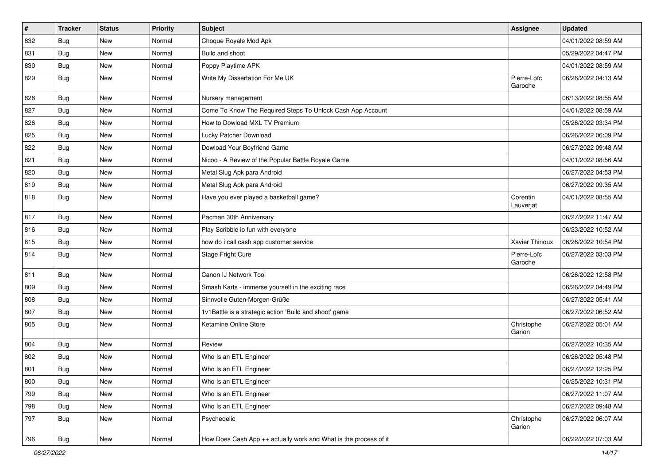| $\pmb{\#}$ | <b>Tracker</b> | <b>Status</b> | Priority | <b>Subject</b>                                                   | <b>Assignee</b>        | <b>Updated</b>      |
|------------|----------------|---------------|----------|------------------------------------------------------------------|------------------------|---------------------|
| 832        | Bug            | New           | Normal   | Choque Royale Mod Apk                                            |                        | 04/01/2022 08:59 AM |
| 831        | Bug            | <b>New</b>    | Normal   | Build and shoot                                                  |                        | 05/29/2022 04:47 PM |
| 830        | Bug            | New           | Normal   | Poppy Playtime APK                                               |                        | 04/01/2022 08:59 AM |
| 829        | Bug            | New           | Normal   | Write My Dissertation For Me UK                                  | Pierre-Loïc<br>Garoche | 06/26/2022 04:13 AM |
| 828        | Bug            | New           | Normal   | Nursery management                                               |                        | 06/13/2022 08:55 AM |
| 827        | Bug            | <b>New</b>    | Normal   | Come To Know The Required Steps To Unlock Cash App Account       |                        | 04/01/2022 08:59 AM |
| 826        | Bug            | New           | Normal   | How to Dowload MXL TV Premium                                    |                        | 05/26/2022 03:34 PM |
| 825        | Bug            | <b>New</b>    | Normal   | Lucky Patcher Download                                           |                        | 06/26/2022 06:09 PM |
| 822        | Bug            | <b>New</b>    | Normal   | Dowload Your Boyfriend Game                                      |                        | 06/27/2022 09:48 AM |
| 821        | Bug            | New           | Normal   | Nicoo - A Review of the Popular Battle Royale Game               |                        | 04/01/2022 08:56 AM |
| 820        | Bug            | New           | Normal   | Metal Slug Apk para Android                                      |                        | 06/27/2022 04:53 PM |
| 819        | Bug            | <b>New</b>    | Normal   | Metal Slug Apk para Android                                      |                        | 06/27/2022 09:35 AM |
| 818        | Bug            | <b>New</b>    | Normal   | Have you ever played a basketball game?                          | Corentin<br>Lauverjat  | 04/01/2022 08:55 AM |
| 817        | Bug            | <b>New</b>    | Normal   | Pacman 30th Anniversary                                          |                        | 06/27/2022 11:47 AM |
| 816        | Bug            | New           | Normal   | Play Scribble io fun with everyone                               |                        | 06/23/2022 10:52 AM |
| 815        | Bug            | <b>New</b>    | Normal   | how do i call cash app customer service                          | Xavier Thirioux        | 06/26/2022 10:54 PM |
| 814        | Bug            | New           | Normal   | Stage Fright Cure                                                | Pierre-Loïc<br>Garoche | 06/27/2022 03:03 PM |
| 811        | Bug            | <b>New</b>    | Normal   | Canon IJ Network Tool                                            |                        | 06/26/2022 12:58 PM |
| 809        | Bug            | <b>New</b>    | Normal   | Smash Karts - immerse yourself in the exciting race              |                        | 06/26/2022 04:49 PM |
| 808        | Bug            | New           | Normal   | Sinnvolle Guten-Morgen-Grüße                                     |                        | 06/27/2022 05:41 AM |
| 807        | Bug            | New           | Normal   | 1v1Battle is a strategic action 'Build and shoot' game           |                        | 06/27/2022 06:52 AM |
| 805        | Bug            | New           | Normal   | Ketamine Online Store                                            | Christophe<br>Garion   | 06/27/2022 05:01 AM |
| 804        | Bug            | <b>New</b>    | Normal   | Review                                                           |                        | 06/27/2022 10:35 AM |
| 802        | Bug            | <b>New</b>    | Normal   | Who Is an ETL Engineer                                           |                        | 06/26/2022 05:48 PM |
| 801        | <b>Bug</b>     | New           | Normal   | Who Is an ETL Engineer                                           |                        | 06/27/2022 12:25 PM |
| 800        | <b>Bug</b>     | New           | Normal   | Who Is an ETL Engineer                                           |                        | 06/25/2022 10:31 PM |
| 799        | Bug            | New           | Normal   | Who Is an ETL Engineer                                           |                        | 06/27/2022 11:07 AM |
| 798        | Bug            | New           | Normal   | Who Is an ETL Engineer                                           |                        | 06/27/2022 09:48 AM |
| 797        | Bug            | New           | Normal   | Psychedelic                                                      | Christophe<br>Garion   | 06/27/2022 06:07 AM |
| 796        | Bug            | New           | Normal   | How Does Cash App ++ actually work and What is the process of it |                        | 06/22/2022 07:03 AM |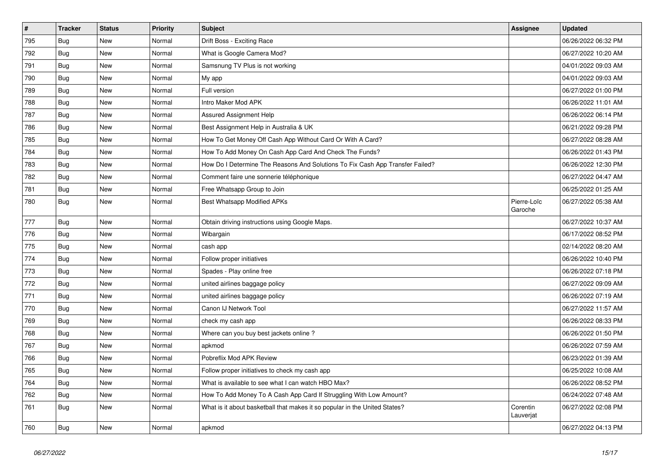| $\pmb{\#}$ | <b>Tracker</b> | <b>Status</b> | <b>Priority</b> | <b>Subject</b>                                                                | Assignee               | <b>Updated</b>      |
|------------|----------------|---------------|-----------------|-------------------------------------------------------------------------------|------------------------|---------------------|
| 795        | Bug            | New           | Normal          | Drift Boss - Exciting Race                                                    |                        | 06/26/2022 06:32 PM |
| 792        | Bug            | <b>New</b>    | Normal          | What is Google Camera Mod?                                                    |                        | 06/27/2022 10:20 AM |
| 791        | Bug            | <b>New</b>    | Normal          | Samsnung TV Plus is not working                                               |                        | 04/01/2022 09:03 AM |
| 790        | Bug            | <b>New</b>    | Normal          | My app                                                                        |                        | 04/01/2022 09:03 AM |
| 789        | Bug            | <b>New</b>    | Normal          | Full version                                                                  |                        | 06/27/2022 01:00 PM |
| 788        | Bug            | New           | Normal          | Intro Maker Mod APK                                                           |                        | 06/26/2022 11:01 AM |
| 787        | Bug            | New           | Normal          | Assured Assignment Help                                                       |                        | 06/26/2022 06:14 PM |
| 786        | Bug            | New           | Normal          | Best Assignment Help in Australia & UK                                        |                        | 06/21/2022 09:28 PM |
| 785        | Bug            | New           | Normal          | How To Get Money Off Cash App Without Card Or With A Card?                    |                        | 06/27/2022 08:28 AM |
| 784        | Bug            | New           | Normal          | How To Add Money On Cash App Card And Check The Funds?                        |                        | 06/26/2022 01:43 PM |
| 783        | Bug            | <b>New</b>    | Normal          | How Do I Determine The Reasons And Solutions To Fix Cash App Transfer Failed? |                        | 06/26/2022 12:30 PM |
| 782        | Bug            | New           | Normal          | Comment faire une sonnerie téléphonique                                       |                        | 06/27/2022 04:47 AM |
| 781        | <b>Bug</b>     | New           | Normal          | Free Whatsapp Group to Join                                                   |                        | 06/25/2022 01:25 AM |
| 780        | <b>Bug</b>     | New           | Normal          | Best Whatsapp Modified APKs                                                   | Pierre-Loïc<br>Garoche | 06/27/2022 05:38 AM |
| 777        | <b>Bug</b>     | <b>New</b>    | Normal          | Obtain driving instructions using Google Maps.                                |                        | 06/27/2022 10:37 AM |
| 776        | Bug            | New           | Normal          | Wibargain                                                                     |                        | 06/17/2022 08:52 PM |
| 775        | Bug            | New           | Normal          | cash app                                                                      |                        | 02/14/2022 08:20 AM |
| 774        | Bug            | <b>New</b>    | Normal          | Follow proper initiatives                                                     |                        | 06/26/2022 10:40 PM |
| 773        | <b>Bug</b>     | New           | Normal          | Spades - Play online free                                                     |                        | 06/26/2022 07:18 PM |
| 772        | Bug            | <b>New</b>    | Normal          | united airlines baggage policy                                                |                        | 06/27/2022 09:09 AM |
| 771        | <b>Bug</b>     | <b>New</b>    | Normal          | united airlines baggage policy                                                |                        | 06/26/2022 07:19 AM |
| 770        | <b>Bug</b>     | New           | Normal          | Canon IJ Network Tool                                                         |                        | 06/27/2022 11:57 AM |
| 769        | <b>Bug</b>     | <b>New</b>    | Normal          | check my cash app                                                             |                        | 06/26/2022 08:33 PM |
| 768        | <b>Bug</b>     | <b>New</b>    | Normal          | Where can you buy best jackets online?                                        |                        | 06/26/2022 01:50 PM |
| 767        | Bug            | <b>New</b>    | Normal          | apkmod                                                                        |                        | 06/26/2022 07:59 AM |
| 766        | Bug            | <b>New</b>    | Normal          | Pobreflix Mod APK Review                                                      |                        | 06/23/2022 01:39 AM |
| 765        | <b>Bug</b>     | <b>New</b>    | Normal          | Follow proper initiatives to check my cash app                                |                        | 06/25/2022 10:08 AM |
| 764        | <b>Bug</b>     | <b>New</b>    | Normal          | What is available to see what I can watch HBO Max?                            |                        | 06/26/2022 08:52 PM |
| 762        | <b>Bug</b>     | <b>New</b>    | Normal          | How To Add Money To A Cash App Card If Struggling With Low Amount?            |                        | 06/24/2022 07:48 AM |
| 761        | Bug            | <b>New</b>    | Normal          | What is it about basketball that makes it so popular in the United States?    | Corentin<br>Lauverjat  | 06/27/2022 02:08 PM |
| 760        | Bug            | <b>New</b>    | Normal          | apkmod                                                                        |                        | 06/27/2022 04:13 PM |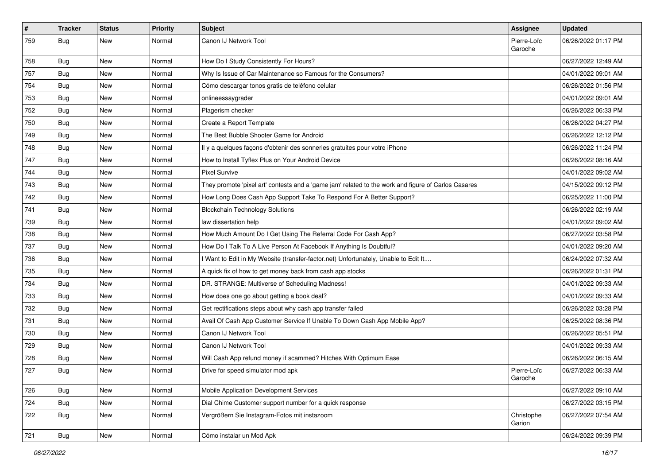| $\pmb{\#}$ | <b>Tracker</b> | <b>Status</b> | <b>Priority</b> | <b>Subject</b>                                                                                      | Assignee               | <b>Updated</b>      |
|------------|----------------|---------------|-----------------|-----------------------------------------------------------------------------------------------------|------------------------|---------------------|
| 759        | Bug            | New           | Normal          | Canon IJ Network Tool                                                                               | Pierre-Loïc<br>Garoche | 06/26/2022 01:17 PM |
| 758        | Bug            | New           | Normal          | How Do I Study Consistently For Hours?                                                              |                        | 06/27/2022 12:49 AM |
| 757        | Bug            | New           | Normal          | Why Is Issue of Car Maintenance so Famous for the Consumers?                                        |                        | 04/01/2022 09:01 AM |
| 754        | Bug            | <b>New</b>    | Normal          | Cómo descargar tonos gratis de teléfono celular                                                     |                        | 06/26/2022 01:56 PM |
| 753        | Bug            | New           | Normal          | onlineessaygrader                                                                                   |                        | 04/01/2022 09:01 AM |
| 752        | Bug            | <b>New</b>    | Normal          | Plagerism checker                                                                                   |                        | 06/26/2022 06:33 PM |
| 750        | Bug            | New           | Normal          | Create a Report Template                                                                            |                        | 06/26/2022 04:27 PM |
| 749        | Bug            | <b>New</b>    | Normal          | The Best Bubble Shooter Game for Android                                                            |                        | 06/26/2022 12:12 PM |
| 748        | Bug            | <b>New</b>    | Normal          | Il y a quelques façons d'obtenir des sonneries gratuites pour votre iPhone                          |                        | 06/26/2022 11:24 PM |
| 747        | Bug            | New           | Normal          | How to Install Tyflex Plus on Your Android Device                                                   |                        | 06/26/2022 08:16 AM |
| 744        | Bug            | New           | Normal          | <b>Pixel Survive</b>                                                                                |                        | 04/01/2022 09:02 AM |
| 743        | Bug            | New           | Normal          | They promote 'pixel art' contests and a 'game jam' related to the work and figure of Carlos Casares |                        | 04/15/2022 09:12 PM |
| 742        | Bug            | New           | Normal          | How Long Does Cash App Support Take To Respond For A Better Support?                                |                        | 06/25/2022 11:00 PM |
| 741        | Bug            | New           | Normal          | <b>Blockchain Technology Solutions</b>                                                              |                        | 06/26/2022 02:19 AM |
| 739        | Bug            | New           | Normal          | law dissertation help                                                                               |                        | 04/01/2022 09:02 AM |
| 738        | Bug            | New           | Normal          | How Much Amount Do I Get Using The Referral Code For Cash App?                                      |                        | 06/27/2022 03:58 PM |
| 737        | Bug            | New           | Normal          | How Do I Talk To A Live Person At Facebook If Anything Is Doubtful?                                 |                        | 04/01/2022 09:20 AM |
| 736        | Bug            | New           | Normal          | I Want to Edit in My Website (transfer-factor.net) Unfortunately, Unable to Edit It                 |                        | 06/24/2022 07:32 AM |
| 735        | Bug            | <b>New</b>    | Normal          | A quick fix of how to get money back from cash app stocks                                           |                        | 06/26/2022 01:31 PM |
| 734        | Bug            | New           | Normal          | DR. STRANGE: Multiverse of Scheduling Madness!                                                      |                        | 04/01/2022 09:33 AM |
| 733        | Bug            | <b>New</b>    | Normal          | How does one go about getting a book deal?                                                          |                        | 04/01/2022 09:33 AM |
| 732        | Bug            | New           | Normal          | Get rectifications steps about why cash app transfer failed                                         |                        | 06/26/2022 03:28 PM |
| 731        | Bug            | New           | Normal          | Avail Of Cash App Customer Service If Unable To Down Cash App Mobile App?                           |                        | 06/25/2022 08:36 PM |
| 730        | Bug            | New           | Normal          | Canon IJ Network Tool                                                                               |                        | 06/26/2022 05:51 PM |
| 729        | Bug            | New           | Normal          | Canon IJ Network Tool                                                                               |                        | 04/01/2022 09:33 AM |
| 728        | Bug            | New           | Normal          | Will Cash App refund money if scammed? Hitches With Optimum Ease                                    |                        | 06/26/2022 06:15 AM |
| 727        | Bug            | New           | Normal          | Drive for speed simulator mod apk                                                                   | Pierre-Loïc<br>Garoche | 06/27/2022 06:33 AM |
| 726        | <b>Bug</b>     | <b>New</b>    | Normal          | Mobile Application Development Services                                                             |                        | 06/27/2022 09:10 AM |
| 724        | Bug            | <b>New</b>    | Normal          | Dial Chime Customer support number for a quick response                                             |                        | 06/27/2022 03:15 PM |
| 722        | Bug            | New           | Normal          | Vergrößern Sie Instagram-Fotos mit instazoom                                                        | Christophe<br>Garion   | 06/27/2022 07:54 AM |
| 721        | <b>Bug</b>     | New           | Normal          | Cómo instalar un Mod Apk                                                                            |                        | 06/24/2022 09:39 PM |